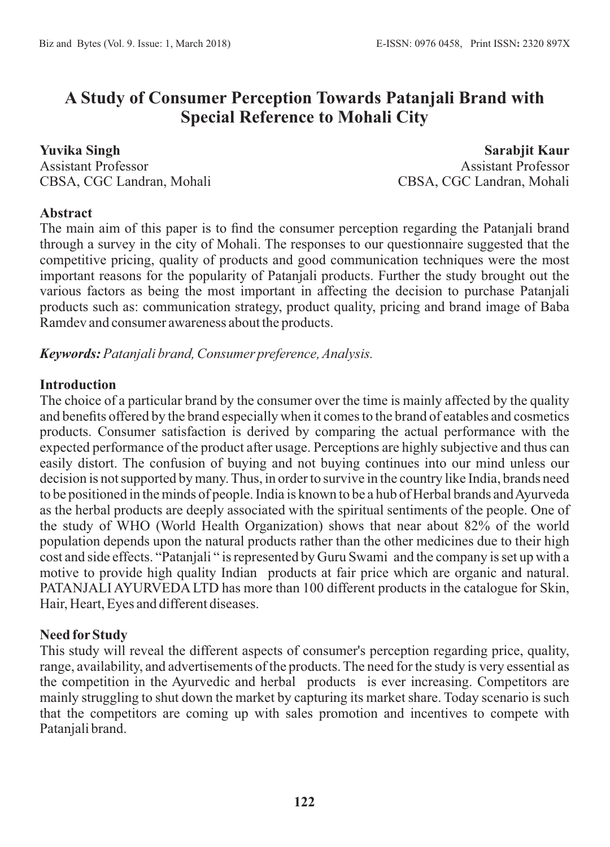## **A Study of Consumer Perception Towards Patanjali Brand with Special Reference to Mohali City**

**Yuvika Singh** Assistant Professor CBSA, CGC Landran, Mohali

**Sarabjit Kaur** Assistant Professor CBSA, CGC Landran, Mohali

#### **Abstract**

The main aim of this paper is to find the consumer perception regarding the Patanjali brand through a survey in the city of Mohali. The responses to our questionnaire suggested that the competitive pricing, quality of products and good communication techniques were the most important reasons for the popularity of Patanjali products. Further the study brought out the various factors as being the most important in affecting the decision to purchase Patanjali products such as: communication strategy, product quality, pricing and brand image of Baba Ramdev and consumer awareness about the products.

*Keywords: Patanjali brand, Consumer preference, Analysis.*

#### **Introduction**

The choice of a particular brand by the consumer over the time is mainly affected by the quality and benefits offered by the brand especially when it comes to the brand of eatables and cosmetics products. Consumer satisfaction is derived by comparing the actual performance with the expected performance of the product after usage. Perceptions are highly subjective and thus can easily distort. The confusion of buying and not buying continues into our mind unless our decision is not supported by many. Thus, in order to survive in the country like India, brands need to be positioned in the minds of people. India is known to be a hub of Herbal brands and Ayurveda as the herbal products are deeply associated with the spiritual sentiments of the people. One of the study of WHO (World Health Organization) shows that near about 82% of the world population depends upon the natural products rather than the other medicines due to their high cost and side effects. "Patanjali " is represented by Guru Swami and the company is set up with a motive to provide high quality Indian products at fair price which are organic and natural. PATANJALI AYURVEDA LTD has more than 100 different products in the catalogue for Skin, Hair, Heart, Eyes and different diseases.

#### **Need forStudy**

This study will reveal the different aspects of consumer's perception regarding price, quality, range, availability, and advertisements of the products. The need for the study is very essential as the competition in the Ayurvedic and herbal products is ever increasing. Competitors are mainly struggling to shut down the market by capturing its market share. Today scenario is such that the competitors are coming up with sales promotion and incentives to compete with Patanjali brand.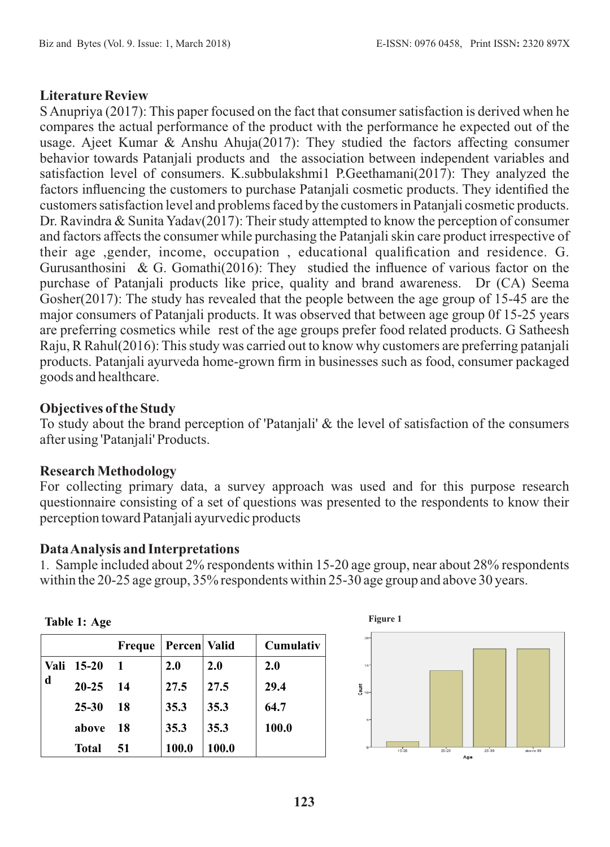#### **Literature Review**

S Anupriya (2017): This paper focused on the fact that consumer satisfaction is derived when he compares the actual performance of the product with the performance he expected out of the usage. Ajeet Kumar & Anshu Ahuja(2017): They studied the factors affecting consumer behavior towards Patanjali products and the association between independent variables and satisfaction level of consumers. K.subbulakshmi1 P.Geethamani(2017): They analyzed the factors influencing the customers to purchase Patanjali cosmetic products. They identified the customers satisfaction level and problems faced by the customers in Patanjali cosmetic products. Dr. Ravindra & Sunita Yadav(2017): Their study attempted to know the perception of consumer and factors affects the consumer while purchasing the Patanjali skin care product irrespective of their age ,gender, income, occupation , educational qualification and residence. G. Gurusanthosini & G. Gomathi(2016): They studied the influence of various factor on the purchase of Patanjali products like price, quality and brand awareness. Dr (CA) Seema Gosher(2017): The study has revealed that the people between the age group of 15-45 are the major consumers of Patanjali products. It was observed that between age group 0f 15-25 years are preferring cosmetics while rest of the age groups prefer food related products. G Satheesh Raju, R Rahul(2016): This study was carried out to know why customers are preferring patanjali products. Patanjali ayurveda home-grown firm in businesses such as food, consumer packaged goods and healthcare.

#### **Objectives of the Study**

To study about the brand perception of 'Patanjali' & the level of satisfaction of the consumers after using 'Patanjali' Products.

#### **Research Methodology**

**Table 1: Age**

For collecting primary data, a survey approach was used and for this purpose research questionnaire consisting of a set of questions was presented to the respondents to know their perception toward Patanjali ayurvedic products

#### **Data Analysis and Interpretations**

1. Sample included about 2% respondents within 15-20 age group, near about 28% respondents within the 20-25 age group, 35% respondents within 25-30 age group and above 30 years.

|      |              | <b>Freque</b> | Percen   Valid |       | Cumulativ |
|------|--------------|---------------|----------------|-------|-----------|
| Vali | 15-20        |               | 2.0            | 2.0   | 2.0       |
| d    | $20 - 25$    | 14            | 27.5           | 27.5  | 29.4      |
|      | $25 - 30$    | 18            | 35.3           | 35.3  | 64.7      |
|      | above        | 18            | 35.3           | 35.3  | 100.0     |
|      | <b>Total</b> | 51            | 100.0          | 100.0 |           |

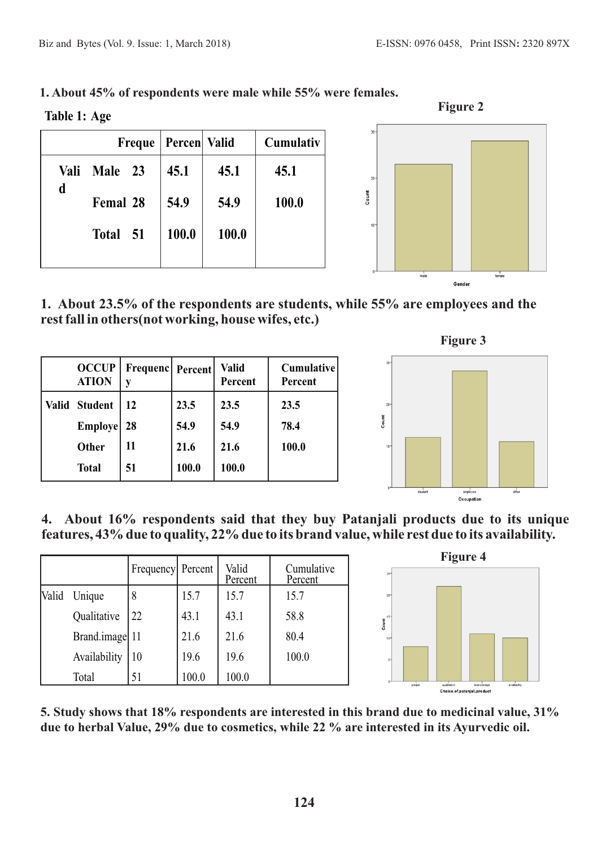**Table 1: Age**

|      | Freque   |  | Percen Valid |       | Cumulativ |
|------|----------|--|--------------|-------|-----------|
| Vali | Male 23  |  | 45.1         | 45.1  | 45.1      |
| d    | Femal 28 |  | 54.9         | 54.9  | 100.0     |
|      | Total 51 |  | 100.0        | 100.0 |           |
|      |          |  |              |       |           |





**1. About 23.5% of the respondents are students, while 55% are employees and the rest fall in others(not working, house wifes, etc.)**

| <b>OCCUP</b><br><b>ATION</b> | Frequenc   Percent |       | <b>Valid</b><br>Percent | <b>Cumulative</b><br>Percent |
|------------------------------|--------------------|-------|-------------------------|------------------------------|
| Valid Student                | 12                 | 23.5  | 23.5                    | 23.5                         |
| <b>Employe</b>               | 28                 | 54.9  | 54.9                    | 78.4                         |
| <b>Other</b>                 | 11                 | 21.6  | 21.6                    | 100.0                        |
| <b>Total</b>                 | 51                 | 100.0 | 100.0                   |                              |



**4. About 16% respondents said that they buy Patanjali products due to its unique features, 43% due to quality, 22% due to its brand value, while rest due to its availability.** 

|       |                | Frequency Percent |       | Valid<br>Percent | Cumulative<br>Percent |
|-------|----------------|-------------------|-------|------------------|-----------------------|
| Valid | Unique         |                   | 15.7  | 15.7             | 15.7                  |
|       | Qualitative    | 22                | 43.1  | 43.1             | 58.8                  |
|       | Brand.image 11 |                   | 21.6  | 21.6             | 80.4                  |
|       | Availability   | 10                | 19.6  | 19.6             | 100.0                 |
|       | Total          | 51                | 100.0 | 100.0            |                       |



**5. Study shows that 18% respondents are interested in this brand due to medicinal value, 31% due to herbal Value, 29% due to cosmetics, while 22 % are interested in its Ayurvedic oil.**

**Figure 3**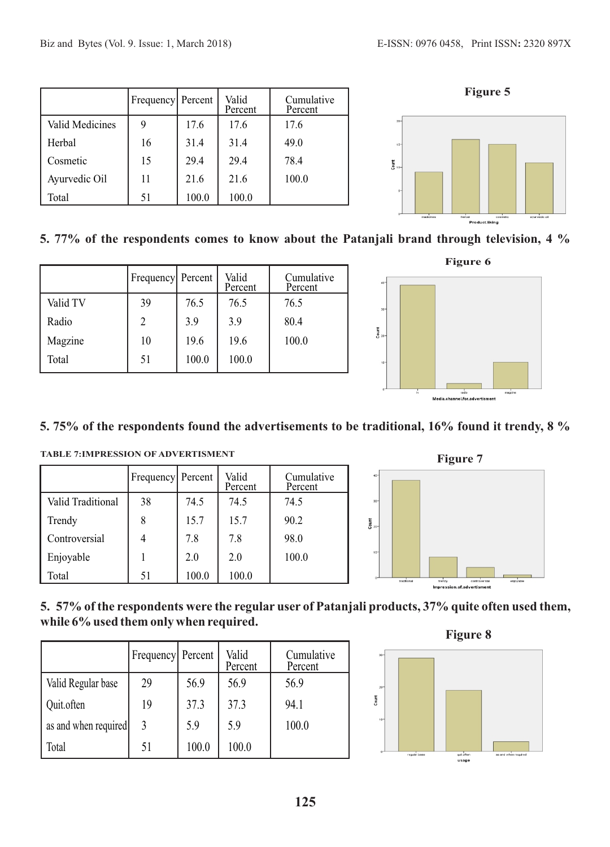|                 | Frequency Percent |       | Valid<br>Percent | Cumulative<br>Percent |
|-----------------|-------------------|-------|------------------|-----------------------|
| Valid Medicines |                   | 17.6  | 17.6             | 17.6                  |
| Herbal          | 16                | 31.4  | 31.4             | 49.0                  |
| Cosmetic        | 15                | 29.4  | 29.4             | 78.4                  |
| Ayurvedic Oil   | 11                | 21.6  | 21.6             | 100.0                 |
| Total           | 51                | 100.0 | 100.0            |                       |





### **5. 77% of the respondents comes to know about the Patanjali brand through television, 4 %**

|          | Frequency Percent |       | Valid<br>Percent | Cumulative<br>Percent |
|----------|-------------------|-------|------------------|-----------------------|
| Valid TV | 39                | 76.5  | 76.5             | 76.5                  |
| Radio    |                   | 3.9   | 3.9              | 80.4                  |
| Magzine  | 10                | 19.6  | 19.6             | 100.0                 |
| Total    | 51                | 100.0 | 100.0            |                       |



#### **5. 75% of the respondents found the advertisements to be traditional, 16% found it trendy, 8 %**

|                   | Frequency Percent |       | Valid<br>Percent | Cumulative<br>Percent |
|-------------------|-------------------|-------|------------------|-----------------------|
| Valid Traditional | 38                | 74.5  | 74.5             | 74.5                  |
| Trendy            |                   | 15.7  | 15.7             | 90.2                  |
| Controversial     |                   | 7.8   | 7.8              | 98.0                  |
| Enjoyable         |                   | 2.0   | 2.0              | 100.0                 |
| Total             | 51                | 100.0 | 100.0            |                       |





#### **5. 57% of the respondents were the regular user of Patanjali products, 37% quite often used them, while 6% used them only when required.**

|                      | Frequency Percent |       | Valid<br>Percent | Cumulative<br>Percent |
|----------------------|-------------------|-------|------------------|-----------------------|
| Valid Regular base   | 29                | 56.9  | 56.9             | 56.9                  |
| Quit.often           | 19                | 37.3  | 37.3             | 94.1                  |
| as and when required | 3                 | 5.9   | 5.9              | 100.0                 |
| Total                | 51                | 100.0 | 100.0            |                       |



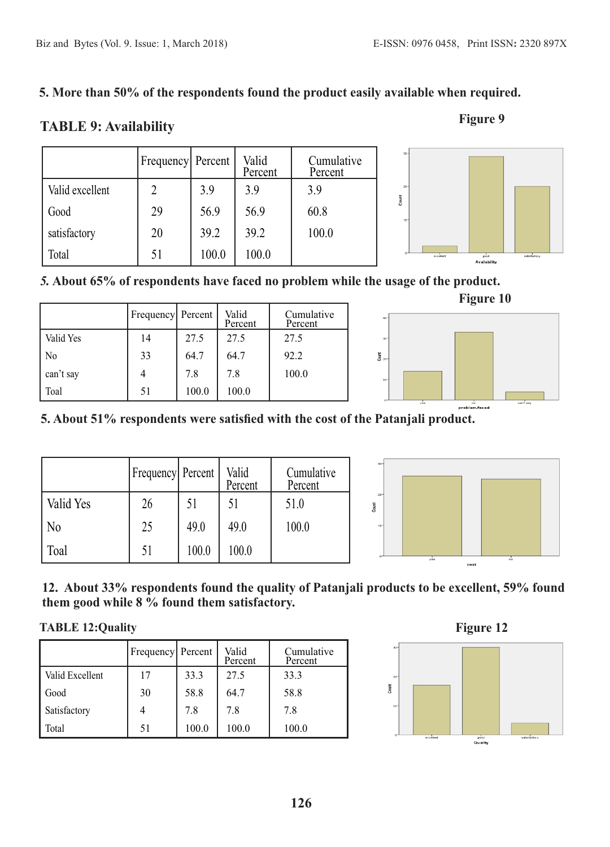#### **5.More than 50% of the respondents found the product easily available when required.**

# **TABLE 9: Availability** Figure 9



#### *5.* **About 65% of respondents have faced no problem while the usage of the product.**

|                | Frequency Percent |       | Valid<br>Percent | Cumulative<br>Percent |
|----------------|-------------------|-------|------------------|-----------------------|
| Valid Yes      | 14                | 27.5  | 27.5             | 27.5                  |
| N <sub>0</sub> | 33                | 64.7  | 64.7             | 92.2                  |
| can't say      |                   | 7.8   | 7.8              | 100.0                 |
| Toal           | 51                | 100.0 | 100.0            |                       |



#### **5. About 51% respondents were satisfied with the cost of the Patanjali product.**

|                | <b>Frequency</b> Percent |       | Valid<br>Percent | Cumulative<br>Percent |
|----------------|--------------------------|-------|------------------|-----------------------|
| Valid Yes      | 26                       | 51    | 51               | 51.0                  |
| N <sub>0</sub> | 25                       | 49.0  | 49.0             | 100.0                 |
| Toal           | 51                       | 100.0 | 100.0            |                       |



#### **12. About 33% respondents found the quality of Patanjali products to be excellent, 59% found them good while 8 % found them satisfactory.**

#### **TABLE 12:Quality** Figure 12

|                 | Frequency Percent |       | Valid<br>Percent | Cumulative<br>Percent |
|-----------------|-------------------|-------|------------------|-----------------------|
| Valid Excellent | 17                | 33.3  | 27.5             | 33.3                  |
| Good            | 30                | 58.8  | 64.7             | 58.8                  |
| Satisfactory    |                   | 7.8   | 7.8              | 7.8                   |
| Total           | 51                | 100.0 | 100.0            | 100.0                 |